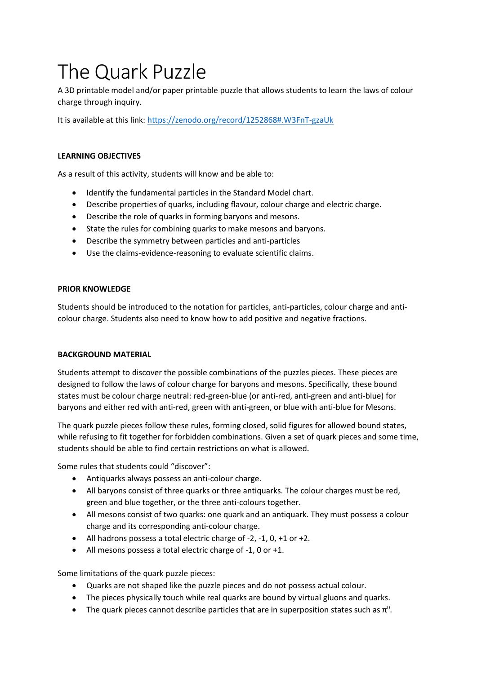# The Quark Puzzle

A 3D printable model and/or paper printable puzzle that allows students to learn the laws of colour charge through inquiry.

It is available at this link:<https://zenodo.org/record/1252868#.W3FnT-gzaUk>

#### **LEARNING OBJECTIVES**

As a result of this activity, students will know and be able to:

- Identify the fundamental particles in the Standard Model chart.
- Describe properties of quarks, including flavour, colour charge and electric charge.
- Describe the role of quarks in forming baryons and mesons.
- State the rules for combining quarks to make mesons and baryons.
- Describe the symmetry between particles and anti-particles
- Use the claims-evidence-reasoning to evaluate scientific claims.

#### **PRIOR KNOWLEDGE**

Students should be introduced to the notation for particles, anti-particles, colour charge and anticolour charge. Students also need to know how to add positive and negative fractions.

#### **BACKGROUND MATERIAL**

Students attempt to discover the possible combinations of the puzzles pieces. These pieces are designed to follow the laws of colour charge for baryons and mesons. Specifically, these bound states must be colour charge neutral: red-green-blue (or anti-red, anti-green and anti-blue) for baryons and either red with anti-red, green with anti-green, or blue with anti-blue for Mesons.

The quark puzzle pieces follow these rules, forming closed, solid figures for allowed bound states, while refusing to fit together for forbidden combinations. Given a set of quark pieces and some time, students should be able to find certain restrictions on what is allowed.

Some rules that students could "discover":

- Antiquarks always possess an anti-colour charge.
- All baryons consist of three quarks or three antiquarks. The colour charges must be red, green and blue together, or the three anti-colours together.
- All mesons consist of two quarks: one quark and an antiquark. They must possess a colour charge and its corresponding anti-colour charge.
- All hadrons possess a total electric charge of -2, -1, 0, +1 or +2.
- All mesons possess a total electric charge of -1, 0 or +1.

Some limitations of the quark puzzle pieces:

- Quarks are not shaped like the puzzle pieces and do not possess actual colour.
- The pieces physically touch while real quarks are bound by virtual gluons and quarks.
- The quark pieces cannot describe particles that are in superposition states such as  $\pi^0$ .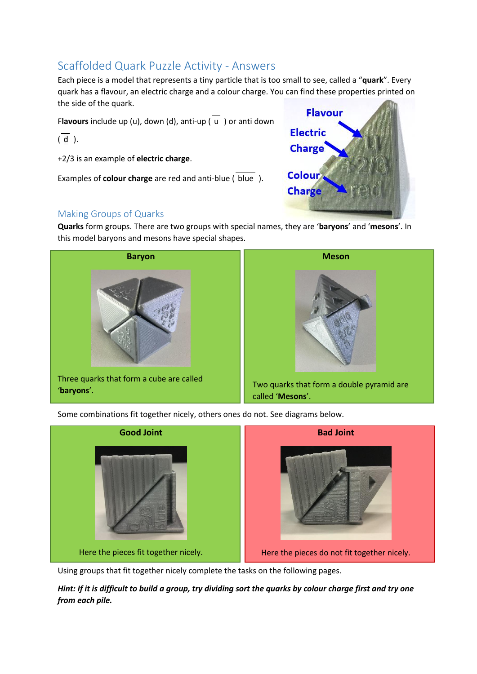### Scaffolded Quark Puzzle Activity - Answers

Each piece is a model that represents a tiny particle that is too small to see, called a "**quark**". Every quark has a flavour, an electric charge and a colour charge. You can find these properties printed on the side of the quark.

Flavours include up (u), down (d), anti-up  $\overline{u}$  ) or anti down

 $(\overline{d})$ .

+2/3 is an example of **electric charge**.

Examples of **colour charge** are red and anti-blue ( blue ).



#### Making Groups of Quarks

**Quarks** form groups. There are two groups with special names, they are '**baryons**' and '**mesons**'. In this model baryons and mesons have special shapes.



Some combinations fit together nicely, others ones do not. See diagrams below.



Using groups that fit together nicely complete the tasks on the following pages.

*Hint: If it is difficult to build a group, try dividing sort the quarks by colour charge first and try one from each pile.*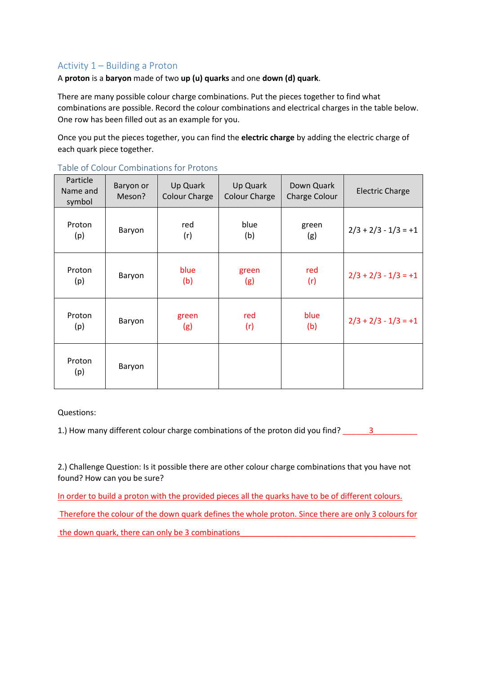#### Activity 1 – Building a Proton

A **proton** is a **baryon** made of two **up (u) quarks** and one **down (d) quark**.

There are many possible colour charge combinations. Put the pieces together to find what combinations are possible. Record the colour combinations and electrical charges in the table below. One row has been filled out as an example for you.

Once you put the pieces together, you can find the **electric charge** by adding the electric charge of each quark piece together.

| Particle<br>Name and<br>symbol | Baryon or<br>Meson? | Up Quark<br><b>Colour Charge</b> | Up Quark<br><b>Colour Charge</b> | Down Quark<br>Charge Colour | <b>Electric Charge</b> |
|--------------------------------|---------------------|----------------------------------|----------------------------------|-----------------------------|------------------------|
| Proton<br>(p)                  | Baryon              | red<br>(r)                       | blue<br>(b)                      | green<br>(g)                | $2/3 + 2/3 - 1/3 = +1$ |
| Proton<br>(p)                  | Baryon              | blue<br>(b)                      | green<br>(g)                     | red<br>(r)                  | $2/3 + 2/3 - 1/3 = +1$ |
| Proton<br>(p)                  | Baryon              | green<br>(g)                     | red<br>(r)                       | blue<br>(b)                 | $2/3 + 2/3 - 1/3 = +1$ |
| Proton<br>(p)                  | Baryon              |                                  |                                  |                             |                        |

Table of Colour Combinations for Protons

Questions:

1.) How many different colour charge combinations of the proton did you find?  $\frac{3}{2}$ 

2.) Challenge Question: Is it possible there are other colour charge combinations that you have not found? How can you be sure?

In order to build a proton with the provided pieces all the quarks have to be of different colours.

Therefore the colour of the down quark defines the whole proton. Since there are only 3 colours for the down quark, there can only be 3 combinations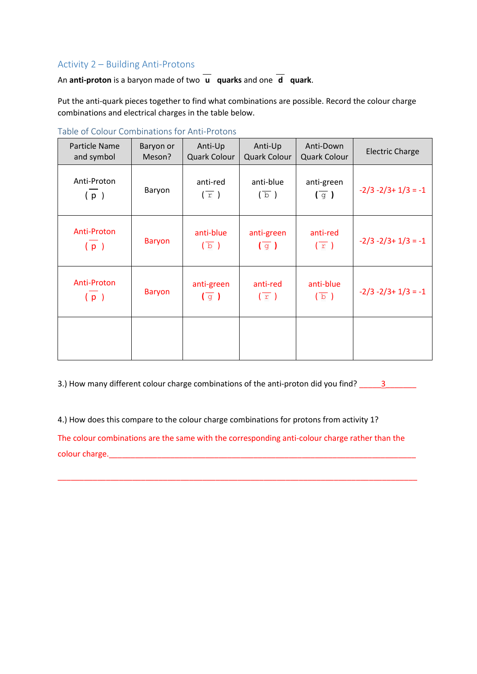#### Activity 2 – Building Anti-Protons

An **anti-proton** is a baryon made of two  $\overline{u}$  **quarks** and one  $\overline{d}$  **quark**.

Put the anti-quark pieces together to find what combinations are possible. Record the colour charge combinations and electrical charges in the table below.

| Particle Name<br>and symbol | Baryon or<br>Meson? | Anti-Up<br>Quark Colour                  | Anti-Up<br>Quark Colour                 | Anti-Down<br><b>Quark Colour</b> | <b>Electric Charge</b>  |
|-----------------------------|---------------------|------------------------------------------|-----------------------------------------|----------------------------------|-------------------------|
| Anti-Proton<br>(p)          | Baryon              | anti-red<br>$(\overline{r})$             | anti-blue<br>$(\overline{b})$           | anti-green<br>$(\overline{g})$   | $-2/3 - 2/3 + 1/3 = -1$ |
| <b>Anti-Proton</b><br>(p)   | <b>Baryon</b>       | anti-blue<br>$\left(\overline{b}\right)$ | anti-green<br>$(\overline{g})$          | anti-red<br>$\sqrt{r}$ )         | $-2/3 - 2/3 + 1/3 = -1$ |
| Anti-Proton<br>(p)          | <b>Baryon</b>       | anti-green<br>$(\overline{g})$           | anti-red<br>$\left(\overline{r}\right)$ | anti-blue<br>$(\overline{b})$    | $-2/3 - 2/3 + 1/3 = -1$ |
|                             |                     |                                          |                                         |                                  |                         |

Table of Colour Combinations for Anti-Protons

3.) How many different colour charge combinations of the anti-proton did you find? \_\_\_\_\_\_\_\_\_\_\_\_\_\_\_\_\_\_\_\_\_\_\_\_\_\_\_

4.) How does this compare to the colour charge combinations for protons from activity 1?

The colour combinations are the same with the corresponding anti-colour charge rather than the colour charge.

\_\_\_\_\_\_\_\_\_\_\_\_\_\_\_\_\_\_\_\_\_\_\_\_\_\_\_\_\_\_\_\_\_\_\_\_\_\_\_\_\_\_\_\_\_\_\_\_\_\_\_\_\_\_\_\_\_\_\_\_\_\_\_\_\_\_\_\_\_\_\_\_\_\_\_\_\_\_\_\_\_\_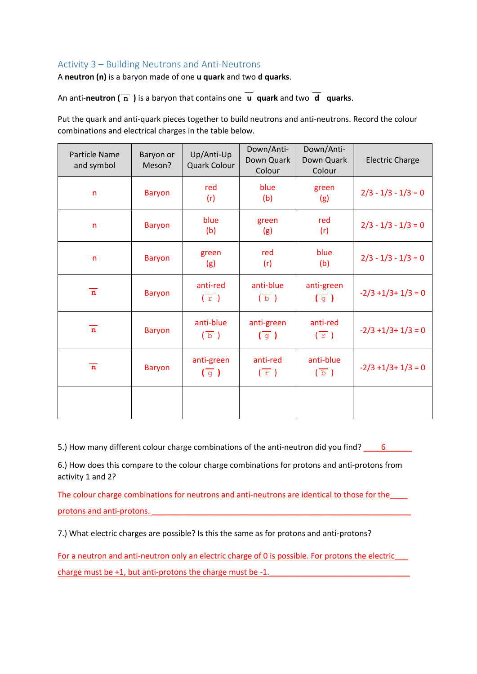#### Activity 3 – Building Neutrons and Anti-Neutrons

A **neutron (n)** is a baryon made of one **u quark** and two **d quarks**.

An anti-neutron  $(\overline{n})$  is a baryon that contains one  $\overline{u}$  quark and two  $\overline{d}$  quarks.

Put the quark and anti-quark pieces together to build neutrons and anti-neutrons. Record the colour combinations and electrical charges in the table below.

| Particle Name<br>and symbol | Baryon or<br>Meson? | Up/Anti-Up<br>Quark Colour               | Down/Anti-<br>Down Quark<br>Colour | Down/Anti-<br>Down Quark<br>Colour | <b>Electric Charge</b> |
|-----------------------------|---------------------|------------------------------------------|------------------------------------|------------------------------------|------------------------|
| $\mathsf{n}$                | <b>Baryon</b>       | red<br>(r)                               | blue<br>(b)                        | green<br>(g)                       | $2/3 - 1/3 - 1/3 = 0$  |
| $\mathsf{n}$                | <b>Baryon</b>       | blue<br>(b)                              | green<br>(g)                       | red<br>(r)                         | $2/3 - 1/3 - 1/3 = 0$  |
| $\mathsf{n}$                | <b>Baryon</b>       | green<br>(g)                             | red<br>(r)                         | blue<br>(b)                        | $2/3 - 1/3 - 1/3 = 0$  |
| $\overline{\mathbf{n}}$     | <b>Baryon</b>       | anti-red<br>$\sqrt{r}$ )                 | anti-blue<br>$(\overline{b})$      | anti-green<br>$\sqrt{q}$           | $-2/3 + 1/3 + 1/3 = 0$ |
| $\overline{\mathbf{n}}$     | <b>Baryon</b>       | anti-blue<br>$\left(\overline{b}\right)$ | anti-green<br>$\sqrt{q}$           | anti-red<br>$\sqrt{r}$ )           | $-2/3 + 1/3 + 1/3 = 0$ |
| $\mathbf n$                 | <b>Baryon</b>       | anti-green<br>$\sqrt{g}$                 | anti-red<br>$\sqrt{r}$ )           | anti-blue<br>$(\overline{b})$      | $-2/3 + 1/3 + 1/3 = 0$ |
|                             |                     |                                          |                                    |                                    |                        |

5.) How many different colour charge combinations of the anti-neutron did you find? \_\_\_\_\_6\_\_\_\_\_\_\_

6.) How does this compare to the colour charge combinations for protons and anti-protons from activity 1 and 2?

The colour charge combinations for neutrons and anti-neutrons are identical to those for the protons and anti-protons.

7.) What electric charges are possible? Is this the same as for protons and anti-protons?

For a neutron and anti-neutron only an electric charge of 0 is possible. For protons the electric\_\_\_ charge must be  $+1$ , but anti-protons the charge must be  $-1$ .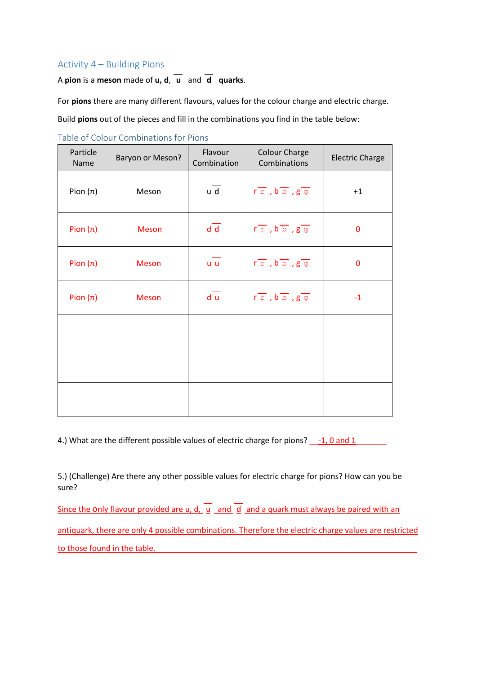#### Activity 4 – Building Pions

A **pion** is a **meson** made of **u**, **d**,  $\overline{u}$  and  $\overline{d}$  **quarks**.

For **pions** there are many different flavours, values for the colour charge and electric charge.

Build **pions** out of the pieces and fill in the combinations you find in the table below:

| Particle<br>Name | Baryon or Meson? | Flavour<br>Combination | <b>Colour Charge</b><br>Combinations                            | <b>Electric Charge</b> |
|------------------|------------------|------------------------|-----------------------------------------------------------------|------------------------|
| Pion $(\pi)$     | Meson            | u d                    | $r r$ , $b b$ , $g g$                                           | $+1$                   |
| Pion $(\pi)$     | <b>Meson</b>     | d d                    | $r \, \overline{r}$ , $b \, \overline{b}$ , $g \, \overline{g}$ | $\mathbf 0$            |
| Pion $(\pi)$     | <b>Meson</b>     | u u                    | $r \, \overline{r}$ , $b \, \overline{b}$ , $g \, \overline{g}$ | $\mathbf 0$            |
| Pion $(\pi)$     | Meson            | d u                    | $r \, \overline{r}$ , $b \, \overline{b}$ , $g \, \overline{g}$ | $-1$                   |
|                  |                  |                        |                                                                 |                        |
|                  |                  |                        |                                                                 |                        |
|                  |                  |                        |                                                                 |                        |

Table of Colour Combinations for Pions

4.) What are the different possible values of electric charge for pions? \_\_\_-1, 0 and 1

5.) (Challenge) Are there any other possible values for electric charge for pions? How can you be sure?

Since the only flavour provided are u, d,  $\frac{1}{u}$  and  $\frac{1}{d}$  and a quark must always be paired with an antiquark, there are only 4 possible combinations. Therefore the electric charge values are restricted to those found in the table.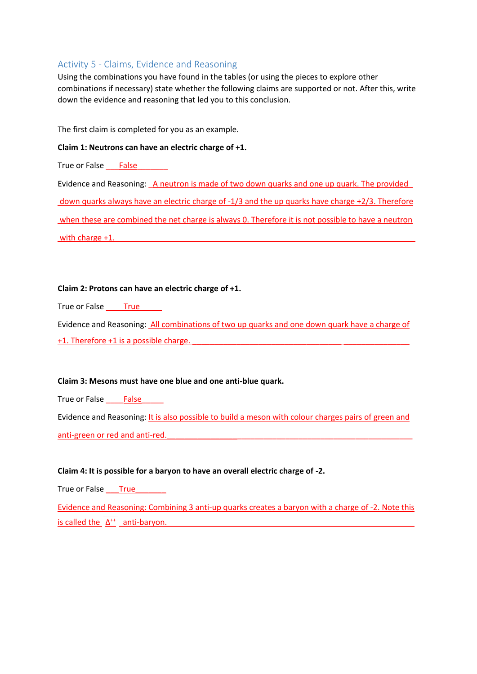#### Activity 5 - Claims, Evidence and Reasoning

Using the combinations you have found in the tables (or using the pieces to explore other combinations if necessary) state whether the following claims are supported or not. After this, write down the evidence and reasoning that led you to this conclusion.

The first claim is completed for you as an example.

#### **Claim 1: Neutrons can have an electric charge of +1.**

True or False \_\_\_\_False

Evidence and Reasoning: \_ A neutron is made of two down quarks and one up quark. The provided down quarks always have an electric charge of -1/3 and the up quarks have charge +2/3. Therefore when these are combined the net charge is always 0. Therefore it is not possible to have a neutron with charge  $+1$ .

#### **Claim 2: Protons can have an electric charge of +1.**

True or False \_\_\_\_True\_\_\_\_\_

Evidence and Reasoning: All combinations of two up quarks and one down quark have a charge of +1. Therefore +1 is a possible charge.

#### **Claim 3: Mesons must have one blue and one anti-blue quark.**

True or False \_\_\_\_False\_\_\_\_\_

Evidence and Reasoning: It is also possible to build a meson with colour charges pairs of green and anti-green or red and anti-red.

#### **Claim 4: It is possible for a baryon to have an overall electric charge of -2.**

True or False \_\_\_\_True

Evidence and Reasoning: Combining 3 anti-up quarks creates a baryon with a charge of -2. Note this  $\frac{1}{2}$  is called the  $\Delta^{++}$  anti-baryon.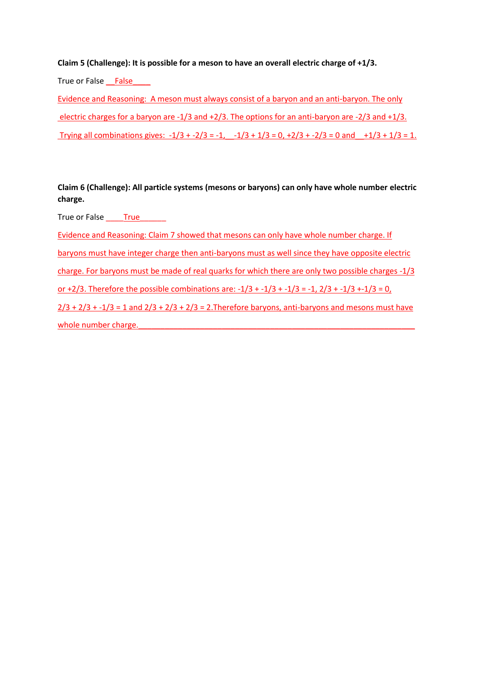#### **Claim 5 (Challenge): It is possible for a meson to have an overall electric charge of +1/3.**

True or False \_\_False\_\_\_\_

Evidence and Reasoning: A meson must always consist of a baryon and an anti-baryon. The only electric charges for a baryon are -1/3 and +2/3. The options for an anti-baryon are -2/3 and +1/3. Trying all combinations gives:  $-1/3 + -2/3 = -1$ ,  $-1/3 + 1/3 = 0$ ,  $+2/3 + -2/3 = 0$  and  $+1/3 + 1/3 = 1$ .

**Claim 6 (Challenge): All particle systems (mesons or baryons) can only have whole number electric charge.**

True or False \_\_\_\_True\_\_\_\_\_\_

Evidence and Reasoning: Claim 7 showed that mesons can only have whole number charge. If baryons must have integer charge then anti-baryons must as well since they have opposite electric charge. For baryons must be made of real quarks for which there are only two possible charges -1/3 or +2/3. Therefore the possible combinations are:  $-1/3 + -1/3 + -1/3 = -1$ ,  $2/3 + -1/3 + -1/3 = 0$ ,  $2/3 + 2/3 + -1/3 = 1$  and  $2/3 + 2/3 + 2/3 = 2$ . Therefore baryons, anti-baryons and mesons must have whole number charge.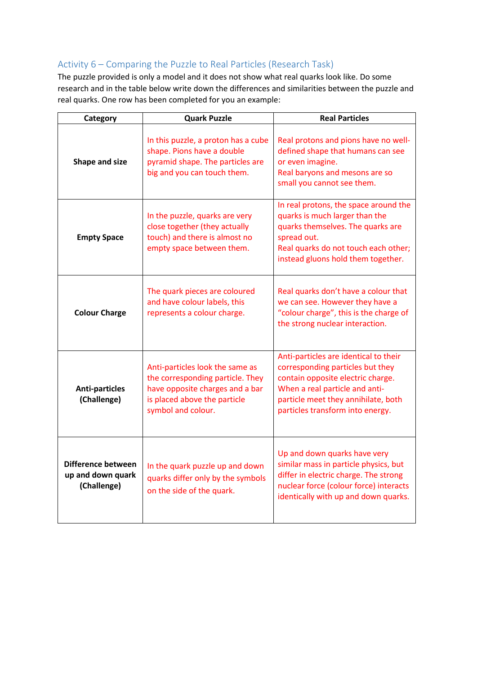#### Activity 6 – Comparing the Puzzle to Real Particles (Research Task)

The puzzle provided is only a model and it does not show what real quarks look like. Do some research and in the table below write down the differences and similarities between the puzzle and real quarks. One row has been completed for you an example:

| <b>Quark Puzzle</b><br>Category                                                                                                                             |                                                                                                                                                              | <b>Real Particles</b>                                                                                                                                                                                                       |  |
|-------------------------------------------------------------------------------------------------------------------------------------------------------------|--------------------------------------------------------------------------------------------------------------------------------------------------------------|-----------------------------------------------------------------------------------------------------------------------------------------------------------------------------------------------------------------------------|--|
| Shape and size                                                                                                                                              | In this puzzle, a proton has a cube<br>shape. Pions have a double<br>pyramid shape. The particles are<br>big and you can touch them.                         | Real protons and pions have no well-<br>defined shape that humans can see<br>or even imagine.<br>Real baryons and mesons are so<br>small you cannot see them.                                                               |  |
| <b>Empty Space</b>                                                                                                                                          | In the puzzle, quarks are very<br>close together (they actually<br>touch) and there is almost no<br>empty space between them.                                | In real protons, the space around the<br>quarks is much larger than the<br>quarks themselves. The quarks are<br>spread out.<br>Real quarks do not touch each other;<br>instead gluons hold them together.                   |  |
| <b>Colour Charge</b>                                                                                                                                        | The quark pieces are coloured<br>and have colour labels, this<br>represents a colour charge.                                                                 | Real quarks don't have a colour that<br>we can see. However they have a<br>"colour charge", this is the charge of<br>the strong nuclear interaction.                                                                        |  |
| <b>Anti-particles</b><br>(Challenge)                                                                                                                        | Anti-particles look the same as<br>the corresponding particle. They<br>have opposite charges and a bar<br>is placed above the particle<br>symbol and colour. | Anti-particles are identical to their<br>corresponding particles but they<br>contain opposite electric charge.<br>When a real particle and anti-<br>particle meet they annihilate, both<br>particles transform into energy. |  |
| Difference between<br>In the quark puzzle up and down<br>up and down quark<br>quarks differ only by the symbols<br>(Challenge)<br>on the side of the quark. |                                                                                                                                                              | Up and down quarks have very<br>similar mass in particle physics, but<br>differ in electric charge. The strong<br>nuclear force (colour force) interacts<br>identically with up and down quarks.                            |  |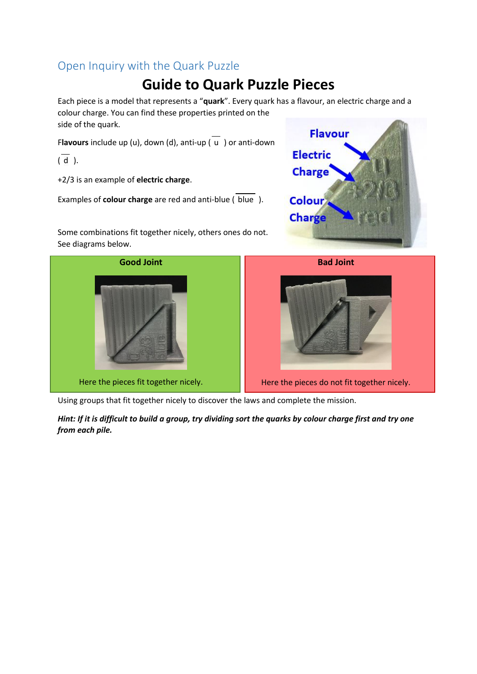### Open Inquiry with the Quark Puzzle

## **Guide to Quark Puzzle Pieces**

Each piece is a model that represents a "**quark**". Every quark has a flavour, an electric charge and a colour charge. You can find these properties printed on the side of the quark.

Flavours include up (u), down (d), anti-up ( $\overline{u}$ ) or anti-down

 $(\overline{d})$ .

+2/3 is an example of **electric charge**.

Examples of **colour charge** are red and anti-blue (blue).

Some combinations fit together nicely, others ones do not. See diagrams below.





Using groups that fit together nicely to discover the laws and complete the mission.

*Hint: If it is difficult to build a group, try dividing sort the quarks by colour charge first and try one from each pile.*